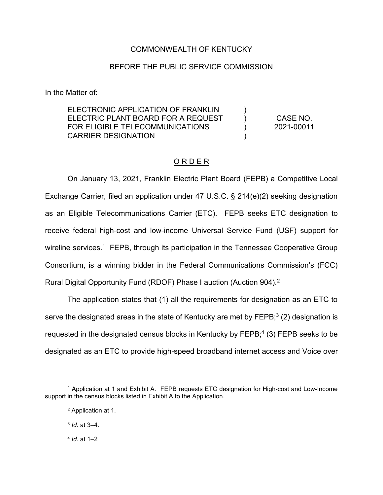### COMMONWEALTH OF KENTUCKY

#### BEFORE THE PUBLIC SERVICE COMMISSION

In the Matter of:

ELECTRONIC APPLICATION OF FRANKLIN ELECTRIC PLANT BOARD FOR A REQUEST FOR ELIGIBLE TELECOMMUNICATIONS CARRIER DESIGNATION ) ) ) ) CASE NO. 2021-00011

### O R D E R

On January 13, 2021, Franklin Electric Plant Board (FEPB) a Competitive Local Exchange Carrier, filed an application under 47 U.S.C. § 214(e)(2) seeking designation as an Eligible Telecommunications Carrier (ETC). FEPB seeks ETC designation to receive federal high-cost and low-income Universal Service Fund (USF) support for wireline services.<sup>1</sup> FEPB, through its participation in the Tennessee Cooperative Group Consortium, is a winning bidder in the Federal Communications Commission's (FCC) Rural Digital Opportunity Fund (RDOF) Phase I auction (Auction 904).2

The application states that (1) all the requirements for designation as an ETC to serve the designated areas in the state of Kentucky are met by FEPB;<sup>3</sup> (2) designation is requested in the designated census blocks in Kentucky by FEPB;<sup>4</sup> (3) FEPB seeks to be designated as an ETC to provide high-speed broadband internet access and Voice over

<sup>4</sup> *Id.* at 1–2

<sup>&</sup>lt;sup>1</sup> Application at 1 and Exhibit A. FEPB requests ETC designation for High-cost and Low-Income support in the census blocks listed in Exhibit A to the Application.

<sup>2</sup> Application at 1.

<sup>3</sup> *Id.* at 3–4.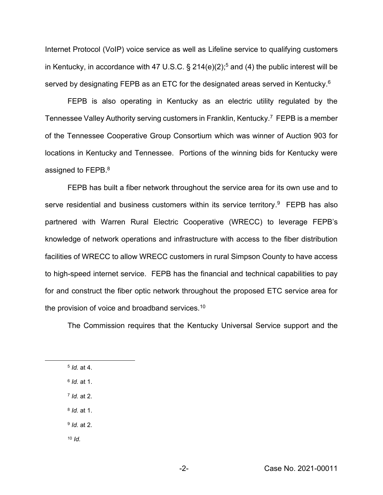Internet Protocol (VoIP) voice service as well as Lifeline service to qualifying customers in Kentucky, in accordance with 47 U.S.C.  $\S$  214(e)(2);<sup>5</sup> and (4) the public interest will be served by designating FEPB as an ETC for the designated areas served in Kentucky.<sup>6</sup>

FEPB is also operating in Kentucky as an electric utility regulated by the Tennessee Valley Authority serving customers in Franklin, Kentucky.7 FEPB is a member of the Tennessee Cooperative Group Consortium which was winner of Auction 903 for locations in Kentucky and Tennessee. Portions of the winning bids for Kentucky were assigned to FEPB. 8

FEPB has built a fiber network throughout the service area for its own use and to serve residential and business customers within its service territory.<sup>9</sup> FEPB has also partnered with Warren Rural Electric Cooperative (WRECC) to leverage FEPB's knowledge of network operations and infrastructure with access to the fiber distribution facilities of WRECC to allow WRECC customers in rural Simpson County to have access to high-speed internet service. FEPB has the financial and technical capabilities to pay for and construct the fiber optic network throughout the proposed ETC service area for the provision of voice and broadband services.<sup>10</sup>

The Commission requires that the Kentucky Universal Service support and the

<sup>6</sup> *Id.* at 1.

- <sup>7</sup> *Id.* at 2.
- <sup>8</sup> *Id.* at 1.

<sup>9</sup> *Id.* at 2.

<sup>10</sup> *Id.*

<sup>5</sup> *Id.* at 4.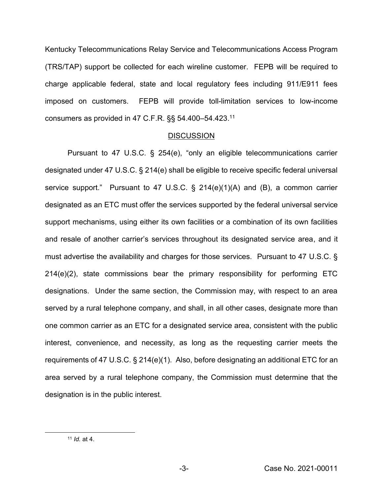Kentucky Telecommunications Relay Service and Telecommunications Access Program (TRS/TAP) support be collected for each wireline customer. FEPB will be required to charge applicable federal, state and local regulatory fees including 911/E911 fees imposed on customers. FEPB will provide toll-limitation services to low-income consumers as provided in 47 C.F.R.  $\S$ § 54.400–54.423.<sup>11</sup>

#### **DISCUSSION**

Pursuant to 47 U.S.C. § 254(e), "only an eligible telecommunications carrier designated under 47 U.S.C. § 214(e) shall be eligible to receive specific federal universal service support." Pursuant to 47 U.S.C. § 214(e)(1)(A) and (B), a common carrier designated as an ETC must offer the services supported by the federal universal service support mechanisms, using either its own facilities or a combination of its own facilities and resale of another carrier's services throughout its designated service area, and it must advertise the availability and charges for those services. Pursuant to 47 U.S.C. § 214(e)(2), state commissions bear the primary responsibility for performing ETC designations. Under the same section, the Commission may, with respect to an area served by a rural telephone company, and shall, in all other cases, designate more than one common carrier as an ETC for a designated service area, consistent with the public interest, convenience, and necessity, as long as the requesting carrier meets the requirements of 47 U.S.C. § 214(e)(1). Also, before designating an additional ETC for an area served by a rural telephone company, the Commission must determine that the designation is in the public interest.

<sup>11</sup> *Id.* at 4.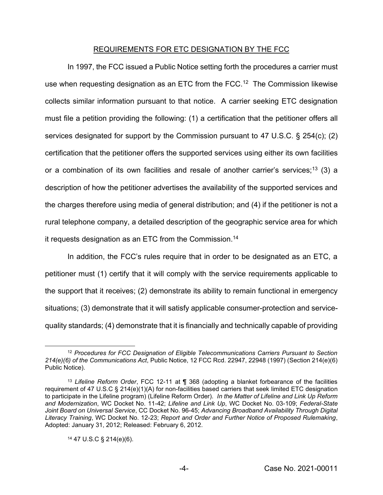#### REQUIREMENTS FOR ETC DESIGNATION BY THE FCC

In 1997, the FCC issued a Public Notice setting forth the procedures a carrier must use when requesting designation as an ETC from the FCC.<sup>12</sup> The Commission likewise collects similar information pursuant to that notice. A carrier seeking ETC designation must file a petition providing the following: (1) a certification that the petitioner offers all services designated for support by the Commission pursuant to 47 U.S.C. § 254(c); (2) certification that the petitioner offers the supported services using either its own facilities or a combination of its own facilities and resale of another carrier's services;<sup>13</sup> (3) a description of how the petitioner advertises the availability of the supported services and the charges therefore using media of general distribution; and (4) if the petitioner is not a rural telephone company, a detailed description of the geographic service area for which it requests designation as an ETC from the Commission. 14

In addition, the FCC's rules require that in order to be designated as an ETC, a petitioner must (1) certify that it will comply with the service requirements applicable to the support that it receives; (2) demonstrate its ability to remain functional in emergency situations; (3) demonstrate that it will satisfy applicable consumer-protection and servicequality standards; (4) demonstrate that it is financially and technically capable of providing

<sup>12</sup> *Procedures for FCC Designation of Eligible Telecommunications Carriers Pursuant to Section 214(e)(6) of the Communications Act*, Public Notice, 12 FCC Rcd. 22947, 22948 (1997) (Section 214(e)(6) Public Notice).

<sup>13</sup> *Lifeline Reform Order*, FCC 12-11 at ¶ 368 (adopting a blanket forbearance of the facilities requirement of 47 U.S.C § 214(e)(1)(A) for non-facilities based carriers that seek limited ETC designation to participate in the Lifeline program) (Lifeline Reform Order). *In the Matter of Lifeline and Link Up Reform and Modernization*, WC Docket No. 11-42; *Lifeline and Link Up*, WC Docket No. 03-109; *Federal-State Joint Board on Universal Service*, CC Docket No. 96-45; *Advancing Broadband Availability Through Digital Literacy Training*, WC Docket No. 12-23; *Report and Order and Further Notice of Proposed Rulemaking*, Adopted: January 31, 2012; Released: February 6, 2012.

<sup>14</sup> 47 U.S.C § 214(e)(6).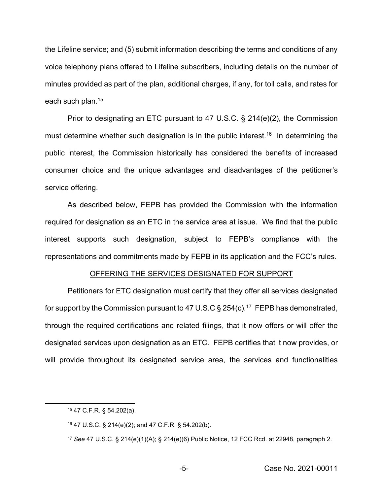the Lifeline service; and (5) submit information describing the terms and conditions of any voice telephony plans offered to Lifeline subscribers, including details on the number of minutes provided as part of the plan, additional charges, if any, for toll calls, and rates for each such plan.<sup>15</sup>

Prior to designating an ETC pursuant to 47 U.S.C. § 214(e)(2), the Commission must determine whether such designation is in the public interest.<sup>16</sup> In determining the public interest, the Commission historically has considered the benefits of increased consumer choice and the unique advantages and disadvantages of the petitioner's service offering.

As described below, FEPB has provided the Commission with the information required for designation as an ETC in the service area at issue. We find that the public interest supports such designation, subject to FEPB's compliance with the representations and commitments made by FEPB in its application and the FCC's rules.

#### OFFERING THE SERVICES DESIGNATED FOR SUPPORT

Petitioners for ETC designation must certify that they offer all services designated for support by the Commission pursuant to 47 U.S.C  $\S 254(c)$ .<sup>17</sup> FEPB has demonstrated, through the required certifications and related filings, that it now offers or will offer the designated services upon designation as an ETC. FEPB certifies that it now provides, or will provide throughout its designated service area, the services and functionalities

<sup>15</sup> 47 C.F.R. § 54.202(a).

<sup>16</sup> 47 U.S.C. § 214(e)(2); and 47 C.F.R. § 54.202(b).

<sup>17</sup> *See* 47 U.S.C. § 214(e)(1)(A); § 214(e)(6) Public Notice, 12 FCC Rcd. at 22948, paragraph 2.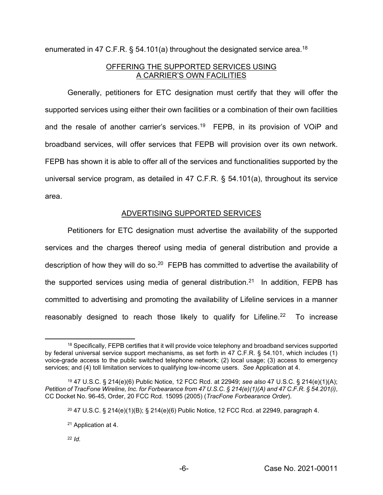enumerated in 47 C.F.R. § 54.101(a) throughout the designated service area.18

# OFFERING THE SUPPORTED SERVICES USING A CARRIER'S OWN FACILITIES

Generally, petitioners for ETC designation must certify that they will offer the supported services using either their own facilities or a combination of their own facilities and the resale of another carrier's services.19 FEPB, in its provision of VOiP and broadband services, will offer services that FEPB will provision over its own network. FEPB has shown it is able to offer all of the services and functionalities supported by the universal service program, as detailed in 47 C.F.R. § 54.101(a), throughout its service area.

# ADVERTISING SUPPORTED SERVICES

Petitioners for ETC designation must advertise the availability of the supported services and the charges thereof using media of general distribution and provide a description of how they will do so.<sup>20</sup> FEPB has committed to advertise the availability of the supported services using media of general distribution.<sup>21</sup> In addition, FEPB has committed to advertising and promoting the availability of Lifeline services in a manner reasonably designed to reach those likely to qualify for Lifeline.<sup>22</sup> To increase

<sup>22</sup> *Id.*

<sup>18</sup> Specifically, FEPB certifies that it will provide voice telephony and broadband services supported by federal universal service support mechanisms, as set forth in 47 C.F.R. § 54.101, which includes (1) voice-grade access to the public switched telephone network; (2) local usage; (3) access to emergency services; and (4) toll limitation services to qualifying low-income users. *See* Application at 4.

<sup>19</sup> 47 U.S.C. § 214(e)(6) Public Notice, 12 FCC Rcd. at 22949; *see also* 47 U.S.C. § 214(e)(1)(A); *Petition of TracFone Wireline, Inc. for Forbearance from 47 U.S.C. § 214(e)(1)(A) and 47 C.F.R. § 54.201(i)*, CC Docket No. 96-45, Order, 20 FCC Rcd. 15095 (2005) (*TracFone Forbearance Order*).

<sup>&</sup>lt;sup>20</sup> 47 U.S.C. § 214(e)(1)(B); § 214(e)(6) Public Notice, 12 FCC Rcd. at 22949, paragraph 4.

<sup>21</sup> Application at 4.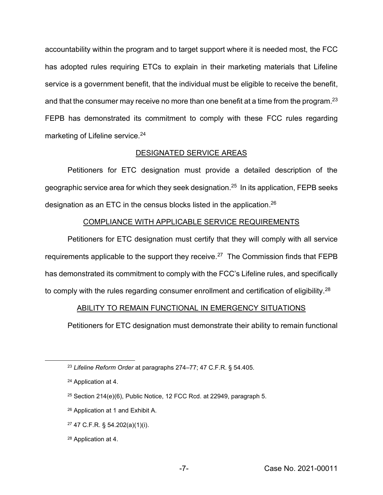accountability within the program and to target support where it is needed most, the FCC has adopted rules requiring ETCs to explain in their marketing materials that Lifeline service is a government benefit, that the individual must be eligible to receive the benefit, and that the consumer may receive no more than one benefit at a time from the program.<sup>23</sup> FEPB has demonstrated its commitment to comply with these FCC rules regarding marketing of Lifeline service.<sup>24</sup>

## DESIGNATED SERVICE AREAS

Petitioners for ETC designation must provide a detailed description of the geographic service area for which they seek designation.25 In its application, FEPB seeks designation as an ETC in the census blocks listed in the application.<sup>26</sup>

## COMPLIANCE WITH APPLICABLE SERVICE REQUIREMENTS

Petitioners for ETC designation must certify that they will comply with all service requirements applicable to the support they receive.27 The Commission finds that FEPB has demonstrated its commitment to comply with the FCC's Lifeline rules, and specifically to comply with the rules regarding consumer enrollment and certification of eligibility.<sup>28</sup>

# ABILITY TO REMAIN FUNCTIONAL IN EMERGENCY SITUATIONS

Petitioners for ETC designation must demonstrate their ability to remain functional

- <sup>27</sup> 47 C.F.R. § 54.202(a)(1)(i).
- <sup>28</sup> Application at 4.

<sup>23</sup> *Lifeline Reform Order* at paragraphs 274–77; 47 C.F.R. § 54.405.

<sup>24</sup> Application at 4.

 $25$  Section 214(e)(6), Public Notice, 12 FCC Rcd. at 22949, paragraph 5.

<sup>26</sup> Application at 1 and Exhibit A.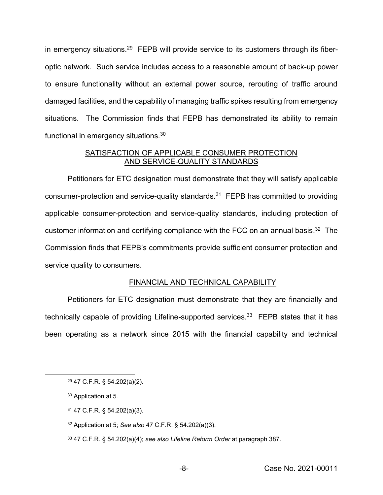in emergency situations.<sup>29</sup> FEPB will provide service to its customers through its fiberoptic network. Such service includes access to a reasonable amount of back-up power to ensure functionality without an external power source, rerouting of traffic around damaged facilities, and the capability of managing traffic spikes resulting from emergency situations. The Commission finds that FEPB has demonstrated its ability to remain functional in emergency situations.30

## SATISFACTION OF APPLICABLE CONSUMER PROTECTION AND SERVICE-QUALITY STANDARDS

Petitioners for ETC designation must demonstrate that they will satisfy applicable consumer-protection and service-quality standards.31 FEPB has committed to providing applicable consumer-protection and service-quality standards, including protection of customer information and certifying compliance with the FCC on an annual basis.<sup>32</sup> The Commission finds that FEPB's commitments provide sufficient consumer protection and service quality to consumers.

#### FINANCIAL AND TECHNICAL CAPABILITY

Petitioners for ETC designation must demonstrate that they are financially and technically capable of providing Lifeline-supported services.<sup>33</sup> FEPB states that it has been operating as a network since 2015 with the financial capability and technical

<sup>29</sup> 47 C.F.R. § 54.202(a)(2).

<sup>30</sup> Application at 5.

<sup>31</sup> 47 C.F.R. § 54.202(a)(3).

<sup>32</sup> Application at 5; *See also* 47 C.F.R. § 54.202(a)(3).

<sup>33</sup> 47 C.F.R. § 54.202(a)(4); *see also Lifeline Reform Order* at paragraph 387.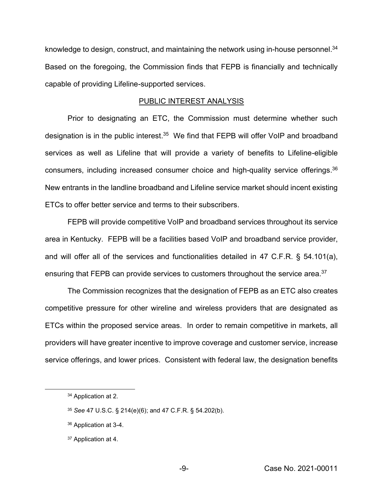knowledge to design, construct, and maintaining the network using in-house personnel.<sup>34</sup> Based on the foregoing, the Commission finds that FEPB is financially and technically capable of providing Lifeline-supported services.

#### PUBLIC INTEREST ANALYSIS

Prior to designating an ETC, the Commission must determine whether such designation is in the public interest. <sup>35</sup> We find that FEPB will offer VoIP and broadband services as well as Lifeline that will provide a variety of benefits to Lifeline-eligible consumers, including increased consumer choice and high-quality service offerings. 36 New entrants in the landline broadband and Lifeline service market should incent existing ETCs to offer better service and terms to their subscribers.

FEPB will provide competitive VoIP and broadband services throughout its service area in Kentucky. FEPB will be a facilities based VoIP and broadband service provider, and will offer all of the services and functionalities detailed in 47 C.F.R. § 54.101(a), ensuring that FEPB can provide services to customers throughout the service area.37

The Commission recognizes that the designation of FEPB as an ETC also creates competitive pressure for other wireline and wireless providers that are designated as ETCs within the proposed service areas. In order to remain competitive in markets, all providers will have greater incentive to improve coverage and customer service, increase service offerings, and lower prices. Consistent with federal law, the designation benefits

<sup>34</sup> Application at 2.

<sup>35</sup> *See* 47 U.S.C. § 214(e)(6); and 47 C.F.R. § 54.202(b).

<sup>36</sup> Application at 3-4.

<sup>37</sup> Application at 4.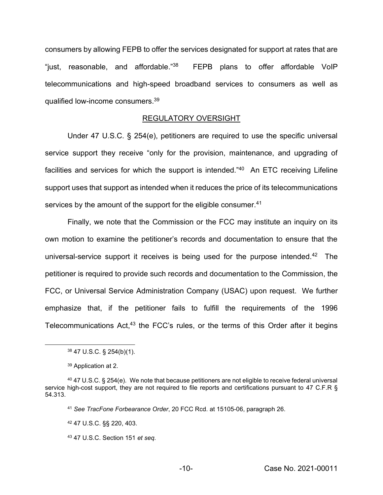consumers by allowing FEPB to offer the services designated for support at rates that are "iust, reasonable, and affordable."<sup>38</sup> FEPB plans to offer affordable VoIP telecommunications and high-speed broadband services to consumers as well as qualified low-income consumers.<sup>39</sup>

#### REGULATORY OVERSIGHT

Under 47 U.S.C. § 254(e), petitioners are required to use the specific universal service support they receive "only for the provision, maintenance, and upgrading of facilities and services for which the support is intended."<sup>40</sup> An ETC receiving Lifeline support uses that support as intended when it reduces the price of its telecommunications services by the amount of the support for the eligible consumer.<sup>41</sup>

Finally, we note that the Commission or the FCC may institute an inquiry on its own motion to examine the petitioner's records and documentation to ensure that the universal-service support it receives is being used for the purpose intended.<sup>42</sup> The petitioner is required to provide such records and documentation to the Commission, the FCC, or Universal Service Administration Company (USAC) upon request. We further emphasize that, if the petitioner fails to fulfill the requirements of the 1996 Telecommunications Act,<sup>43</sup> the FCC's rules, or the terms of this Order after it begins

<sup>38</sup> 47 U.S.C. § 254(b)(1).

<sup>39</sup> Application at 2.

<sup>40</sup> 47 U.S.C. § 254(e). We note that because petitioners are not eligible to receive federal universal service high-cost support, they are not required to file reports and certifications pursuant to 47 C.F.R § 54.313.

<sup>41</sup> *See TracFone Forbearance Order*, 20 FCC Rcd. at 15105-06, paragraph 26.

<sup>42</sup> 47 U.S.C. §§ 220, 403.

<sup>43</sup> 47 U.S.C. Section 151 *et seq.*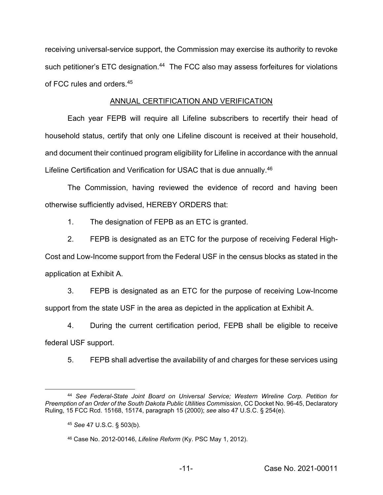receiving universal-service support, the Commission may exercise its authority to revoke such petitioner's ETC designation.<sup>44</sup> The FCC also may assess forfeitures for violations of FCC rules and orders.45

# ANNUAL CERTIFICATION AND VERIFICATION

Each year FEPB will require all Lifeline subscribers to recertify their head of household status, certify that only one Lifeline discount is received at their household, and document their continued program eligibility for Lifeline in accordance with the annual Lifeline Certification and Verification for USAC that is due annually.<sup>46</sup>

The Commission, having reviewed the evidence of record and having been otherwise sufficiently advised, HEREBY ORDERS that:

1. The designation of FEPB as an ETC is granted.

2. FEPB is designated as an ETC for the purpose of receiving Federal High-

Cost and Low-Income support from the Federal USF in the census blocks as stated in the application at Exhibit A.

3. FEPB is designated as an ETC for the purpose of receiving Low-Income support from the state USF in the area as depicted in the application at Exhibit A.

4. During the current certification period, FEPB shall be eligible to receive federal USF support.

5. FEPB shall advertise the availability of and charges for these services using

<sup>44</sup> *See Federal-State Joint Board on Universal Service; Western Wireline Corp. Petition for Preemption of an Order of the South Dakota Public Utilities Commission*, CC Docket No. 96-45, Declaratory Ruling, 15 FCC Rcd. 15168, 15174, paragraph 15 (2000); *see* also 47 U.S.C. § 254(e).

<sup>45</sup> *See* 47 U.S.C. § 503(b).

<sup>46</sup> Case No. 2012-00146, *Lifeline Reform* (Ky. PSC May 1, 2012).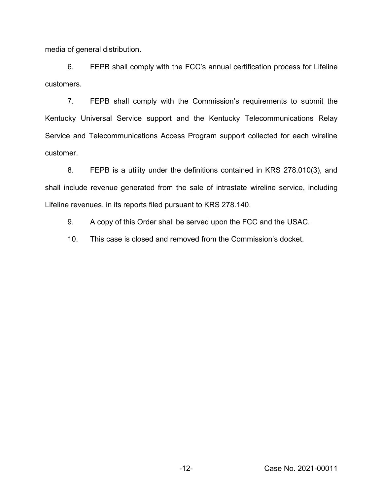media of general distribution.

6. FEPB shall comply with the FCC's annual certification process for Lifeline customers.

7. FEPB shall comply with the Commission's requirements to submit the Kentucky Universal Service support and the Kentucky Telecommunications Relay Service and Telecommunications Access Program support collected for each wireline customer.

8. FEPB is a utility under the definitions contained in KRS 278.010(3), and shall include revenue generated from the sale of intrastate wireline service, including Lifeline revenues, in its reports filed pursuant to KRS 278.140.

9. A copy of this Order shall be served upon the FCC and the USAC.

10. This case is closed and removed from the Commission's docket.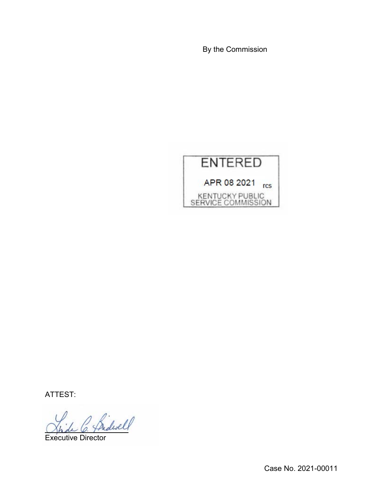By the Commission



ATTEST:

fridwell

Executive Director

Case No. 2021-00011